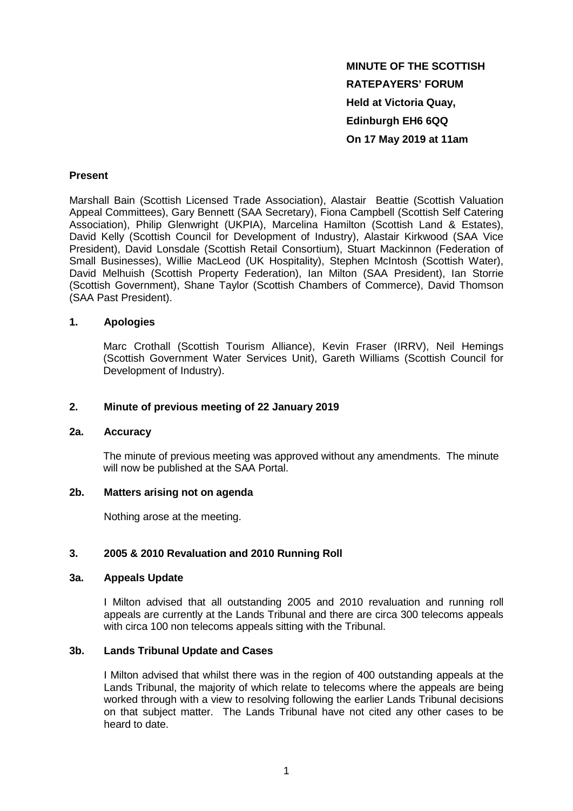**MINUTE OF THE SCOTTISH RATEPAYERS' FORUM Held at Victoria Quay, Edinburgh EH6 6QQ On 17 May 2019 at 11am**

## **Present**

Marshall Bain (Scottish Licensed Trade Association), Alastair Beattie (Scottish Valuation Appeal Committees), Gary Bennett (SAA Secretary), Fiona Campbell (Scottish Self Catering Association), Philip Glenwright (UKPIA), Marcelina Hamilton (Scottish Land & Estates), David Kelly (Scottish Council for Development of Industry), Alastair Kirkwood (SAA Vice President), David Lonsdale (Scottish Retail Consortium), Stuart Mackinnon (Federation of Small Businesses), Willie MacLeod (UK Hospitality), Stephen McIntosh (Scottish Water), David Melhuish (Scottish Property Federation), Ian Milton (SAA President), Ian Storrie (Scottish Government), Shane Taylor (Scottish Chambers of Commerce), David Thomson (SAA Past President).

### **1. Apologies**

Marc Crothall (Scottish Tourism Alliance), Kevin Fraser (IRRV), Neil Hemings (Scottish Government Water Services Unit), Gareth Williams (Scottish Council for Development of Industry).

### **2. Minute of previous meeting of 22 January 2019**

#### **2a. Accuracy**

The minute of previous meeting was approved without any amendments. The minute will now be published at the SAA Portal.

#### **2b. Matters arising not on agenda**

Nothing arose at the meeting.

### **3. 2005 & 2010 Revaluation and 2010 Running Roll**

#### **3a. Appeals Update**

I Milton advised that all outstanding 2005 and 2010 revaluation and running roll appeals are currently at the Lands Tribunal and there are circa 300 telecoms appeals with circa 100 non telecoms appeals sitting with the Tribunal.

### **3b. Lands Tribunal Update and Cases**

I Milton advised that whilst there was in the region of 400 outstanding appeals at the Lands Tribunal, the majority of which relate to telecoms where the appeals are being worked through with a view to resolving following the earlier Lands Tribunal decisions on that subject matter. The Lands Tribunal have not cited any other cases to be heard to date.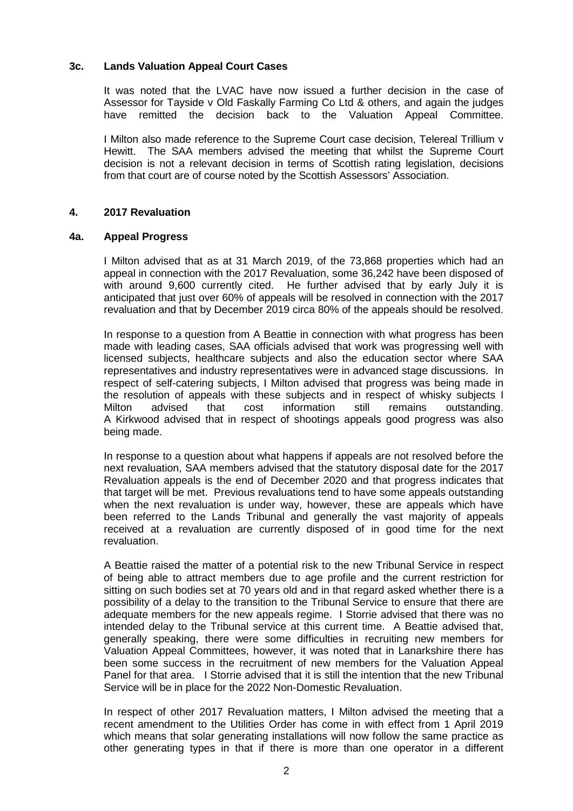# **3c. Lands Valuation Appeal Court Cases**

It was noted that the LVAC have now issued a further decision in the case of Assessor for Tayside v Old Faskally Farming Co Ltd & others, and again the judges have remitted the decision back to the Valuation Appeal Committee.

I Milton also made reference to the Supreme Court case decision, Telereal Trillium v Hewitt. The SAA members advised the meeting that whilst the Supreme Court decision is not a relevant decision in terms of Scottish rating legislation, decisions from that court are of course noted by the Scottish Assessors' Association.

# **4. 2017 Revaluation**

### **4a. Appeal Progress**

I Milton advised that as at 31 March 2019, of the 73,868 properties which had an appeal in connection with the 2017 Revaluation, some 36,242 have been disposed of with around 9,600 currently cited. He further advised that by early July it is anticipated that just over 60% of appeals will be resolved in connection with the 2017 revaluation and that by December 2019 circa 80% of the appeals should be resolved.

In response to a question from A Beattie in connection with what progress has been made with leading cases, SAA officials advised that work was progressing well with licensed subjects, healthcare subjects and also the education sector where SAA representatives and industry representatives were in advanced stage discussions. In respect of self-catering subjects, I Milton advised that progress was being made in the resolution of appeals with these subjects and in respect of whisky subjects I Milton advised that cost information still remains outstanding. A Kirkwood advised that in respect of shootings appeals good progress was also being made.

In response to a question about what happens if appeals are not resolved before the next revaluation, SAA members advised that the statutory disposal date for the 2017 Revaluation appeals is the end of December 2020 and that progress indicates that that target will be met. Previous revaluations tend to have some appeals outstanding when the next revaluation is under way, however, these are appeals which have been referred to the Lands Tribunal and generally the vast majority of appeals received at a revaluation are currently disposed of in good time for the next revaluation.

A Beattie raised the matter of a potential risk to the new Tribunal Service in respect of being able to attract members due to age profile and the current restriction for sitting on such bodies set at 70 years old and in that regard asked whether there is a possibility of a delay to the transition to the Tribunal Service to ensure that there are adequate members for the new appeals regime. I Storrie advised that there was no intended delay to the Tribunal service at this current time. A Beattie advised that, generally speaking, there were some difficulties in recruiting new members for Valuation Appeal Committees, however, it was noted that in Lanarkshire there has been some success in the recruitment of new members for the Valuation Appeal Panel for that area. I Storrie advised that it is still the intention that the new Tribunal Service will be in place for the 2022 Non-Domestic Revaluation.

In respect of other 2017 Revaluation matters, I Milton advised the meeting that a recent amendment to the Utilities Order has come in with effect from 1 April 2019 which means that solar generating installations will now follow the same practice as other generating types in that if there is more than one operator in a different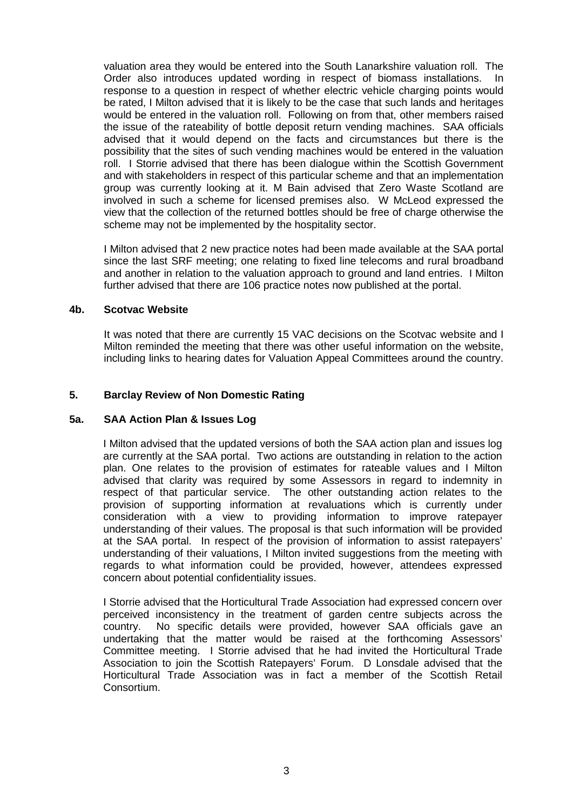valuation area they would be entered into the South Lanarkshire valuation roll. The Order also introduces updated wording in respect of biomass installations. In response to a question in respect of whether electric vehicle charging points would be rated, I Milton advised that it is likely to be the case that such lands and heritages would be entered in the valuation roll. Following on from that, other members raised the issue of the rateability of bottle deposit return vending machines. SAA officials advised that it would depend on the facts and circumstances but there is the possibility that the sites of such vending machines would be entered in the valuation roll. I Storrie advised that there has been dialogue within the Scottish Government and with stakeholders in respect of this particular scheme and that an implementation group was currently looking at it. M Bain advised that Zero Waste Scotland are involved in such a scheme for licensed premises also. W McLeod expressed the view that the collection of the returned bottles should be free of charge otherwise the scheme may not be implemented by the hospitality sector.

I Milton advised that 2 new practice notes had been made available at the SAA portal since the last SRF meeting; one relating to fixed line telecoms and rural broadband and another in relation to the valuation approach to ground and land entries. I Milton further advised that there are 106 practice notes now published at the portal.

## **4b. Scotvac Website**

It was noted that there are currently 15 VAC decisions on the Scotvac website and I Milton reminded the meeting that there was other useful information on the website, including links to hearing dates for Valuation Appeal Committees around the country.

# **5. Barclay Review of Non Domestic Rating**

### **5a. SAA Action Plan & Issues Log**

I Milton advised that the updated versions of both the SAA action plan and issues log are currently at the SAA portal. Two actions are outstanding in relation to the action plan. One relates to the provision of estimates for rateable values and I Milton advised that clarity was required by some Assessors in regard to indemnity in respect of that particular service. The other outstanding action relates to the provision of supporting information at revaluations which is currently under consideration with a view to providing information to improve ratepayer understanding of their values. The proposal is that such information will be provided at the SAA portal. In respect of the provision of information to assist ratepayers' understanding of their valuations, I Milton invited suggestions from the meeting with regards to what information could be provided, however, attendees expressed concern about potential confidentiality issues.

I Storrie advised that the Horticultural Trade Association had expressed concern over perceived inconsistency in the treatment of garden centre subjects across the country. No specific details were provided, however SAA officials gave an undertaking that the matter would be raised at the forthcoming Assessors' Committee meeting. I Storrie advised that he had invited the Horticultural Trade Association to join the Scottish Ratepayers' Forum. D Lonsdale advised that the Horticultural Trade Association was in fact a member of the Scottish Retail Consortium.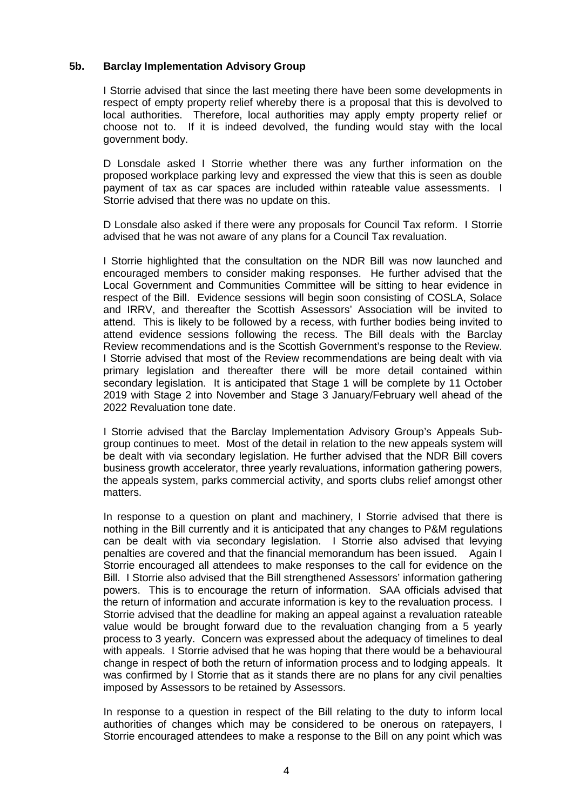# **5b. Barclay Implementation Advisory Group**

I Storrie advised that since the last meeting there have been some developments in respect of empty property relief whereby there is a proposal that this is devolved to local authorities. Therefore, local authorities may apply empty property relief or choose not to. If it is indeed devolved, the funding would stay with the local government body.

D Lonsdale asked I Storrie whether there was any further information on the proposed workplace parking levy and expressed the view that this is seen as double payment of tax as car spaces are included within rateable value assessments. I Storrie advised that there was no update on this.

D Lonsdale also asked if there were any proposals for Council Tax reform. I Storrie advised that he was not aware of any plans for a Council Tax revaluation.

I Storrie highlighted that the consultation on the NDR Bill was now launched and encouraged members to consider making responses. He further advised that the Local Government and Communities Committee will be sitting to hear evidence in respect of the Bill. Evidence sessions will begin soon consisting of COSLA, Solace and IRRV, and thereafter the Scottish Assessors' Association will be invited to attend. This is likely to be followed by a recess, with further bodies being invited to attend evidence sessions following the recess. The Bill deals with the Barclay Review recommendations and is the Scottish Government's response to the Review. I Storrie advised that most of the Review recommendations are being dealt with via primary legislation and thereafter there will be more detail contained within secondary legislation. It is anticipated that Stage 1 will be complete by 11 October 2019 with Stage 2 into November and Stage 3 January/February well ahead of the 2022 Revaluation tone date.

I Storrie advised that the Barclay Implementation Advisory Group's Appeals Subgroup continues to meet. Most of the detail in relation to the new appeals system will be dealt with via secondary legislation. He further advised that the NDR Bill covers business growth accelerator, three yearly revaluations, information gathering powers, the appeals system, parks commercial activity, and sports clubs relief amongst other matters.

In response to a question on plant and machinery, I Storrie advised that there is nothing in the Bill currently and it is anticipated that any changes to P&M regulations can be dealt with via secondary legislation. I Storrie also advised that levying penalties are covered and that the financial memorandum has been issued. Again I Storrie encouraged all attendees to make responses to the call for evidence on the Bill. I Storrie also advised that the Bill strengthened Assessors' information gathering powers. This is to encourage the return of information. SAA officials advised that the return of information and accurate information is key to the revaluation process. I Storrie advised that the deadline for making an appeal against a revaluation rateable value would be brought forward due to the revaluation changing from a 5 yearly process to 3 yearly. Concern was expressed about the adequacy of timelines to deal with appeals. I Storrie advised that he was hoping that there would be a behavioural change in respect of both the return of information process and to lodging appeals. It was confirmed by I Storrie that as it stands there are no plans for any civil penalties imposed by Assessors to be retained by Assessors.

In response to a question in respect of the Bill relating to the duty to inform local authorities of changes which may be considered to be onerous on ratepayers, I Storrie encouraged attendees to make a response to the Bill on any point which was